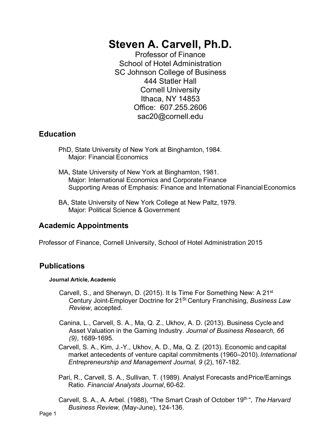# **Steven A. Carvell, Ph.D.**

Professor of Finance School of Hotel Administration SC Johnson College of Business 444 Statler Hall Cornell University Ithaca, NY 14853 Office: 607.255.2606 [sac20@cornell.edu](mailto:sac20@cornell.edu)

# **Education**

- PhD, State University of New York at Binghamton, 1984. Major: Financial Economics
- MA, State University of New York at Binghamton, 1981. Major: International Economics and Corporate Finance Supporting Areas of Emphasis: Finance and International FinancialEconomics
- BA, State University of New York College at New Paltz, 1979. Major: Political Science & Government

# **Academic Appointments**

Professor of Finance, Cornell University, School of Hotel Administration 2015

# **Publications**

# **Journal Article, Academic**

- Carvell, S., and Sherwyn, D. (2015). It Is Time For Something New: A 21st Century Joint-Employer Doctrine for 21St Century Franchising, *Business Law Review*, accepted.
- Canina, L., Carvell, S. A., Ma, Q. Z., Ukhov, A. D. (2013). Business Cycle and Asset Valuation in the Gaming Industry. *Journal of Business Research, 66 (9)*, 1689-1695.
- Carvell, S. A., Kim, J.-Y., Ukhov, A. D., Ma, Q. Z. (2013). Economic and capital market antecedents of venture capital commitments (1960–2010).*International Entrepreneurship and Management Journal, 9* (2), 167-182.
- Pari, R., Carvell, S. A., Sullivan, T. (1989). Analyst Forecasts andPrice/Earnings Ratio. *Financial Analysts Journal*, 60-62.
- Carvell, S. A., A. Arbel. (1988), "The Smart Crash of October 19th ", *The Harvard Business Review,* (May-June), 124-136.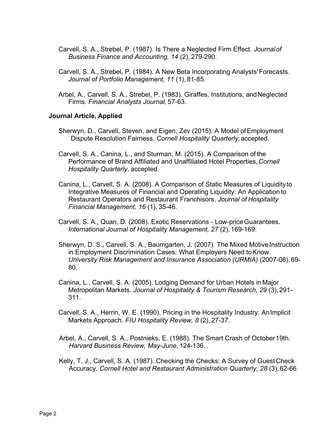- Carvell, S. A., Strebel, P. (1987). Is There a Neglected Firm Effect. *Journalof Business Finance and Accounting, 14* (2), 279-290.
- Carvell, S. A., Strebel, P. (1984). A New Beta Incorporating Analysts'Forecasts. *Journal of Portfolio Management, 11* (1), 81-85.
- Arbel, A., Carvell, S. A., Strebel, P. (1983). Giraffes, Institutions, and Neglected Firms. *Financial Analysts Journal*, 57-63.

#### **Journal Article, Applied**

- Sherwyn, D., Carvell, Steven, and Eigen, Zev (2015). A Model ofEmployment Dispute Resolution Fairness, *Cornell Hospitality Quarterly*,accepted.
- Carvell, S. A., Canina, L., and Sturman, M. (2015). A Comparison of the Performance of Brand Affiliated and Unaffiliated Hotel Properties,*Cornell Hospitality Quarterly*, accepted.
- Canina, L., Carvell, S. A. (2008). A Comparison of Static Measures of Liquidityto Integrative Measures of Financial and Operating Liquidity: An Application to Restaurant Operators and Restaurant Franchisors. *Journal of Hospitality Financial Management, 16* (1), 35-46.
- Carvell, S. A., Quan, D. (2008). Exotic Reservations Low-priceGuarantees. *International Journal of Hospitality Management, 27* (2), 169-169.
- Sherwyn, D. S., Carvell, S. A., Baumgarten, J. (2007). The Mixed Motive Instruction in Employment Discrimination Cases: What Employers Need to Know. *University Risk Management and Insurance Association (URMIA)* (2007-08), 69- 80.
- Canina, L., Carvell, S. A. (2005). Lodging Demand for Urban Hotels in Major Metropolitan Markets. *Journal of Hospitality & Tourism Research, 29* (3),291- 311.
- Carvell, S. A., Herrin, W. E. (1990). Pricing in the Hospitality Industry: AnImplicit Markets Approach. *FIU Hospitality Review, 8* (2), 27-37.
- Arbel, A., Carvell, S. A., Postnieks, E. (1988). The Smart Crash of October19th. *Harvard Business Review, May-June*, 124-136.
- Kelly, T. J., Carvell, S. A. (1987). Checking the Checks: A Survey of Guest Check Accuracy. *Cornell Hotel and Restaurant Administration Quarterly, 28* (3),62-66.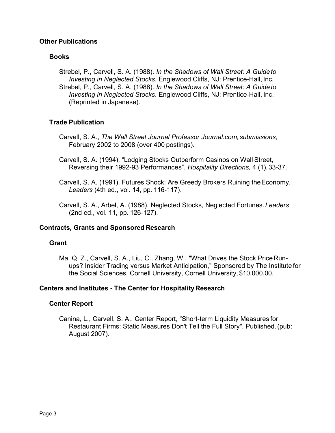# **Other Publications**

# **Books**

Strebel, P., Carvell, S. A. (1988). *In the Shadows of Wall Street: A Guideto Investing in Neglected Stocks*. Englewood Cliffs, NJ: Prentice-Hall, Inc. Strebel, P., Carvell, S. A. (1988). *In the Shadows of Wall Street: A Guideto Investing in Neglected Stocks*. Englewood Cliffs, NJ: Prentice-Hall, Inc. (Reprinted in Japanese).

# **Trade Publication**

- Carvell, S. A., *The Wall Street Journal Professor Journal.com,submissions,* February 2002 to 2008 (over 400 postings).
- Carvell, S. A. (1994), "Lodging Stocks Outperform Casinos on Wall Street, Reversing their 1992-93 Performances", *Hospitality Directions,* 4 (1),33-37.
- Carvell, S. A. (1991). Futures Shock: Are Greedy Brokers Ruining theEconomy. *Leaders* (4th ed., vol. 14, pp. 116-117).
- Carvell, S. A., Arbel, A. (1988). Neglected Stocks, Neglected Fortunes.*Leaders* (2nd ed., vol. 11, pp. 126-127).

# **Contracts, Grants and Sponsored Research**

# **Grant**

Ma, Q. Z., Carvell, S. A., Liu, C., Zhang, W., "What Drives the Stock Price Runups? Insider Trading versus Market Anticipation," Sponsored by The Institute for the Social Sciences, Cornell University, Cornell University, \$10,000.00.

# **Centers and Institutes - The Center for Hospitality Research**

# **Center Report**

Canina, L., Carvell, S. A., Center Report, "Short-term Liquidity Measures for Restaurant Firms: Static Measures Don't Tell the Full Story", Published.(pub: August 2007).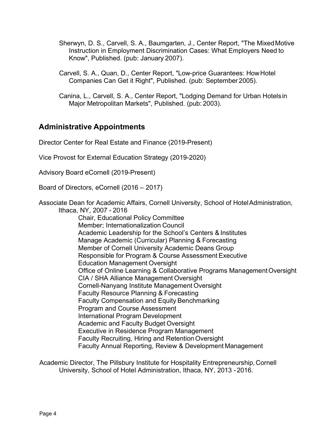- Sherwyn, D. S., Carvell, S. A., Baumgarten, J., Center Report, "The MixedMotive Instruction in Employment Discrimination Cases: What Employers Need to Know", Published. (pub: January 2007).
- Carvell, S. A., Quan, D., Center Report, "Low-price Guarantees: HowHotel Companies Can Get it Right", Published. (pub: September 2005).
- Canina, L., Carvell, S. A., Center Report, "Lodging Demand for Urban Hotelsin Major Metropolitan Markets", Published. (pub: 2003).

# **Administrative Appointments**

Director Center for Real Estate and Finance (2019-Present)

Vice Provost for External Education Strategy (2019-2020)

Advisory Board eCornell (2019-Present)

Board of Directors, eCornell (2016 – 2017)

Associate Dean for Academic Affairs, Cornell University, School of HotelAdministration, Ithaca, NY, 2007 - 2016

Chair, Educational Policy Committee Member; Internationalization Council Academic Leadership for the School's Centers & Institutes Manage Academic (Curricular) Planning & Forecasting Member of Cornell University Academic Deans Group Responsible for Program & Course Assessment Executive Education Management Oversight Office of Online Learning & Collaborative Programs ManagementOversight CIA / SHA Alliance Management Oversight Cornell-Nanyang Institute Management Oversight Faculty Resource Planning & Forecasting Faculty Compensation and Equity Benchmarking Program and Course Assessment International Program Development Academic and Faculty Budget Oversight Executive in Residence Program Management Faculty Recruiting, Hiring and Retention Oversight Faculty Annual Reporting, Review & Development Management

Academic Director, The Pillsbury Institute for Hospitality Entrepreneurship,Cornell University, School of Hotel Administration, Ithaca, NY, 2013 - 2016.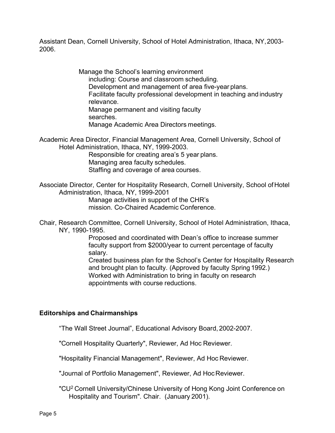Assistant Dean, Cornell University, School of Hotel Administration, Ithaca, NY,2003- 2006.

> Manage the School's learning environment including: Course and classroom scheduling. Development and management of area five-year plans. Facilitate faculty professional development in teaching and industry relevance. Manage permanent and visiting faculty searches. Manage Academic Area Directors meetings.

Academic Area Director, Financial Management Area, Cornell University, School of Hotel Administration, Ithaca, NY, 1999-2003.

> Responsible for creating area's 5 year plans. Managing area faculty schedules. Staffing and coverage of area courses.

Associate Director, Center for Hospitality Research, Cornell University, School ofHotel Administration, Ithaca, NY, 1999-2001

Manage activities in support of the CHR's mission. Co-Chaired Academic Conference.

Chair, Research Committee, Cornell University, School of Hotel Administration, Ithaca, NY, 1990-1995.

> Proposed and coordinated with Dean's office to increase summer faculty support from \$2000/year to current percentage of faculty salary.

Created business plan for the School's Center for Hospitality Research and brought plan to faculty. (Approved by faculty Spring 1992.) Worked with Administration to bring in faculty on research appointments with course reductions.

#### **Editorships and Chairmanships**

"The Wall Street Journal", Educational Advisory Board, 2002-2007.

"Cornell Hospitality Quarterly", Reviewer, Ad Hoc Reviewer.

"Hospitality Financial Management", Reviewer, Ad Hoc Reviewer.

"Journal of Portfolio Management", Reviewer, Ad HocReviewer.

"CU<sup>2</sup> Cornell University/Chinese University of Hong Kong Joint Conference on Hospitality and Tourism". Chair. (January 2001).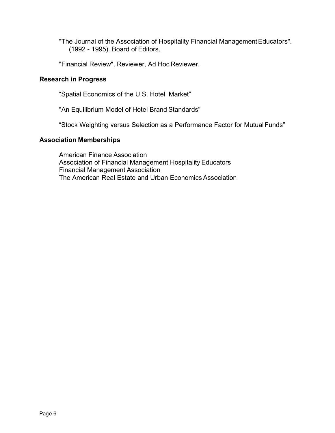"The Journal of the Association of Hospitality Financial Management Educators". (1992 - 1995). Board of Editors.

"Financial Review", Reviewer, Ad Hoc Reviewer.

# **Research in Progress**

"Spatial Economics of the U.S. Hotel Market"

"An Equilibrium Model of Hotel Brand Standards"

"Stock Weighting versus Selection as a Performance Factor for MutualFunds"

### **Association Memberships**

American Finance Association Association of Financial Management Hospitality Educators Financial Management Association The American Real Estate and Urban Economics Association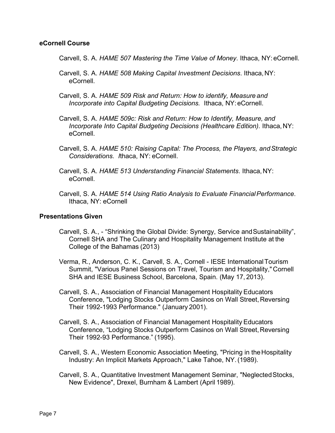#### **eCornell Course**

Carvell, S. A. *HAME 507 Mastering the Time Value of Money*. Ithaca, NY:eCornell.

- Carvell, S. A. *HAME 508 Making Capital Investment Decisions*. Ithaca,NY: eCornell.
- Carvell, S. A. *HAME 509 Risk and Return: How to identify, Measure and Incorporate into Capital Budgeting Decisions.* Ithaca, NY:eCornell.
- Carvell, S. A. *HAME 509c: Risk and Return: How to Identify, Measure, and Incorporate Into Capital Budgeting Decisions (Healthcare Edition).* Ithaca,NY: eCornell.
- Carvell, S. A. *HAME 510: Raising Capital: The Process, the Players, andStrategic Considerations. I*thaca, NY: eCornell.
- Carvell, S. A. *HAME 513 Understanding Financial Statements*. Ithaca,NY: eCornell.
- Carvell, S. A. *HAME 514 Using Ratio Analysis to Evaluate FinancialPerformance*. Ithaca, NY: eCornell

#### **Presentations Given**

- Carvell, S. A., "Shrinking the Global Divide: Synergy, Service and Sustainability", Cornell SHA and The Culinary and Hospitality Management Institute at the College of the Bahamas (2013)
- Verma, R., Anderson, C. K., Carvell, S. A., Cornell IESE InternationalTourism Summit, "Various Panel Sessions on Travel, Tourism and Hospitality,"Cornell SHA and IESE Business School, Barcelona, Spain. (May 17, 2013).
- Carvell, S. A., Association of Financial Management Hospitality Educators Conference, "Lodging Stocks Outperform Casinos on Wall Street,Reversing Their 1992-1993 Performance." (January 2001).
- Carvell, S. A., Association of Financial Management Hospitality Educators Conference, "Lodging Stocks Outperform Casinos on Wall Street,Reversing Their 1992-93 Performance." (1995).
- Carvell, S. A., Western Economic Association Meeting, "Pricing in the Hospitality Industry: An Implicit Markets Approach," Lake Tahoe, NY.(1989).
- Carvell, S. A., Quantitative Investment Management Seminar, "NeglectedStocks, New Evidence", Drexel, Burnham & Lambert (April 1989).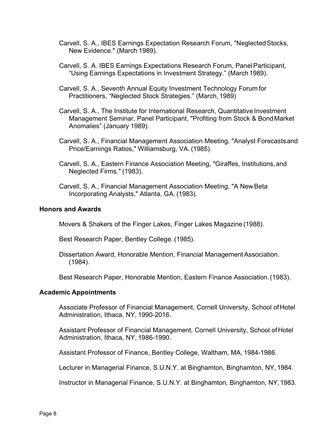- Carvell, S. A., IBES Earnings Expectation Research Forum, "Neglected Stocks, New Evidence." (March 1989).
- Carvell, S. A. IBES Earnings Expectations Research Forum, PanelParticipant, "Using Earnings Expectations in Investment Strategy." (March 1989).
- Carvell, S. A., Seventh Annual Equity Investment Technology Forum for Practitioners, "Neglected Stock Strategies." (March, 1989)
- Carvell, S. A., The Institute for International Research, Quantitative Investment Management Seminar, Panel Participant, "Profiting from Stock & BondMarket Anomalies" (January 1989).
- Carvell, S. A., Financial Management Association Meeting, "Analyst Forecastsand Price/Earnings Ratios," Williamsburg, VA. (1985).
- Carvell, S. A., Eastern Finance Association Meeting, "Giraffes, Institutions,and Neglected Firms." (1983).
- Carvell, S. A., Financial Management Association Meeting, "A New Beta Incorporating Analysts," Atlanta, GA. (1983).

#### **Honors and Awards**

Movers & Shakers of the Finger Lakes, Finger Lakes Magazine (1988).

Best Research Paper, Bentley College. (1985).

Dissertation Award, Honorable Mention, Financial Management Association. (1984).

Best Research Paper, Honorable Mention, Eastern Finance Association.(1983).

#### **Academic Appointments**

Associate Professor of Financial Management, Cornell University, School ofHotel Administration, Ithaca, NY, 1990-2016.

Assistant Professor of Financial Management, Cornell University, School ofHotel Administration, Ithaca, NY, 1986-1990.

Assistant Professor of Finance, Bentley College, Waltham, MA, 1984-1986.

Lecturer in Managerial Finance, S.U.N.Y. at Binghamton, Binghamton, NY, 1984.

Instructor in Managerial Finance, S.U.N.Y. at Binghamton, Binghamton, NY,1983.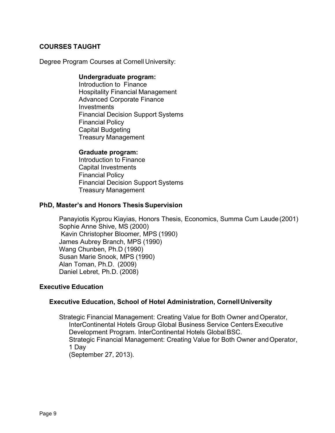# **COURSES TAUGHT**

Degree Program Courses at Cornell University:

#### **Undergraduate program:**

Introduction to Finance Hospitality Financial Management Advanced Corporate Finance **Investments** Financial Decision Support Systems Financial Policy Capital Budgeting Treasury Management

#### **Graduate program:**

Introduction to Finance Capital Investments Financial Policy Financial Decision Support Systems Treasury Management

#### **PhD, Master's and Honors Thesis Supervision**

Panayiotis Kyprou Kiayias, Honors Thesis, Economics, Summa Cum Laude (2001) Sophie Anne Shive, MS (2000) Kavin Christopher Bloomer, MPS (1990) James Aubrey Branch, MPS (1990) Wang Chunben, Ph.D (1990) Susan Marie Snook, MPS (1990) Alan Toman, Ph.D. (2009) Daniel Lebret, Ph.D. (2008)

# **Executive Education**

# **Executive Education, School of Hotel Administration, CornellUniversity**

Strategic Financial Management: Creating Value for Both Owner and Operator, InterContinental Hotels Group Global Business Service Centers Executive Development Program. InterContinental Hotels Global BSC. Strategic Financial Management: Creating Value for Both Owner and Operator, 1 Day (September 27, 2013).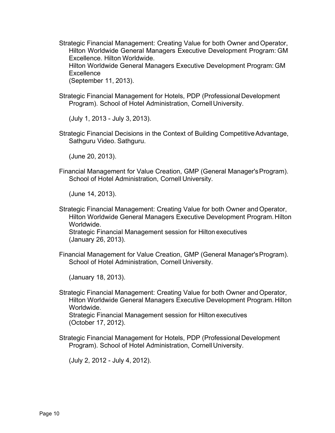Strategic Financial Management: Creating Value for both Owner and Operator, Hilton Worldwide General Managers Executive Development Program: GM Excellence. Hilton Worldwide.

Hilton Worldwide General Managers Executive Development Program: GM **Excellence** 

(September 11, 2013).

Strategic Financial Management for Hotels, PDP (Professional Development Program). School of Hotel Administration, Cornell University.

(July 1, 2013 - July 3, 2013).

Strategic Financial Decisions in the Context of Building CompetitiveAdvantage, Sathguru Video. Sathguru.

(June 20, 2013).

Financial Management for Value Creation, GMP (General Manager'sProgram). School of Hotel Administration, Cornell University.

(June 14, 2013).

Strategic Financial Management: Creating Value for both Owner and Operator, Hilton Worldwide General Managers Executive Development Program.Hilton Worldwide. Strategic Financial Management session for Hilton executives

(January 26, 2013).

Financial Management for Value Creation, GMP (General Manager'sProgram). School of Hotel Administration, Cornell University.

(January 18, 2013).

Strategic Financial Management: Creating Value for both Owner and Operator, Hilton Worldwide General Managers Executive Development Program. Hilton Worldwide.

Strategic Financial Management session for Hilton executives (October 17, 2012).

Strategic Financial Management for Hotels, PDP (Professional Development Program). School of Hotel Administration, Cornell University.

(July 2, 2012 - July 4, 2012).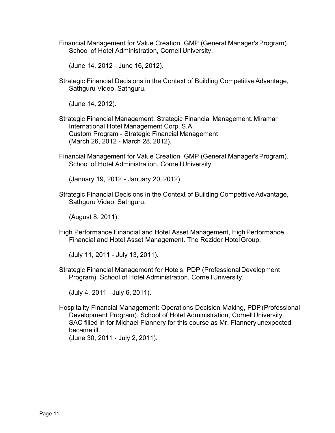Financial Management for Value Creation, GMP (General Manager'sProgram). School of Hotel Administration, Cornell University.

(June 14, 2012 - June 16, 2012).

Strategic Financial Decisions in the Context of Building Competitive Advantage, Sathguru Video. Sathguru.

(June 14, 2012).

- Strategic Financial Management, Strategic Financial Management.Miramar International Hotel Management Corp. S.A. Custom Program - Strategic Financial Management (March 26, 2012 - March 28, 2012).
- Financial Management for Value Creation, GMP (General Manager'sProgram). School of Hotel Administration, Cornell University.

(January 19, 2012 - January 20, 2012).

Strategic Financial Decisions in the Context of Building CompetitiveAdvantage, Sathguru Video. Sathguru.

(August 8, 2011).

High Performance Financial and Hotel Asset Management, HighPerformance Financial and Hotel Asset Management. The Rezidor HotelGroup.

(July 11, 2011 - July 13, 2011).

Strategic Financial Management for Hotels, PDP (Professional Development Program). School of Hotel Administration, Cornell University.

(July 4, 2011 - July 6, 2011).

Hospitality Financial Management: Operations Decision-Making, PDP(Professional Development Program). School of Hotel Administration, CornellUniversity. SAC filled in for Michael Flannery for this course as Mr. Flanneryunexpected became ill.

(June 30, 2011 - July 2, 2011).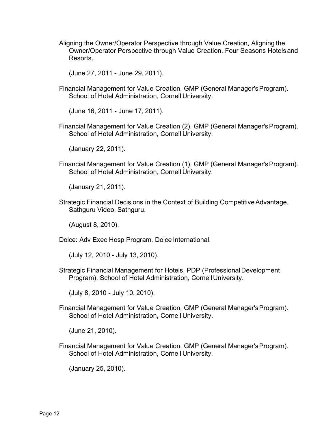Aligning the Owner/Operator Perspective through Value Creation, Aligning the Owner/Operator Perspective through Value Creation. Four Seasons Hotelsand Resorts.

(June 27, 2011 - June 29, 2011).

Financial Management for Value Creation, GMP (General Manager'sProgram). School of Hotel Administration, Cornell University.

(June 16, 2011 - June 17, 2011).

Financial Management for Value Creation (2), GMP (General Manager's Program). School of Hotel Administration, Cornell University.

(January 22, 2011).

Financial Management for Value Creation (1), GMP (General Manager's Program). School of Hotel Administration, Cornell University.

(January 21, 2011).

Strategic Financial Decisions in the Context of Building CompetitiveAdvantage, Sathguru Video. Sathguru.

(August 8, 2010).

Dolce: Adv Exec Hosp Program. Dolce International.

(July 12, 2010 - July 13, 2010).

Strategic Financial Management for Hotels, PDP (Professional Development Program). School of Hotel Administration, Cornell University.

(July 8, 2010 - July 10, 2010).

Financial Management for Value Creation, GMP (General Manager'sProgram). School of Hotel Administration, Cornell University.

(June 21, 2010).

Financial Management for Value Creation, GMP (General Manager'sProgram). School of Hotel Administration, Cornell University.

(January 25, 2010).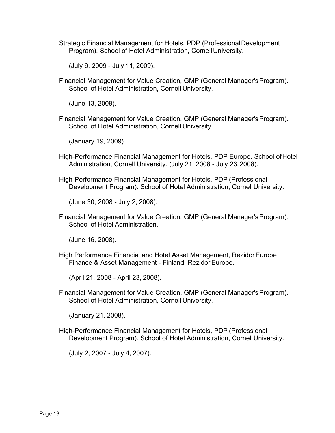Strategic Financial Management for Hotels, PDP (Professional Development Program). School of Hotel Administration, Cornell University.

(July 9, 2009 - July 11, 2009).

Financial Management for Value Creation, GMP (General Manager'sProgram). School of Hotel Administration, Cornell University.

(June 13, 2009).

Financial Management for Value Creation, GMP (General Manager'sProgram). School of Hotel Administration, Cornell University.

(January 19, 2009).

- High-Performance Financial Management for Hotels, PDP Europe. School ofHotel Administration, Cornell University. (July 21, 2008 - July 23,2008).
- High-Performance Financial Management for Hotels, PDP (Professional Development Program). School of Hotel Administration, CornellUniversity.

(June 30, 2008 - July 2, 2008).

Financial Management for Value Creation, GMP (General Manager'sProgram). School of Hotel Administration.

(June 16, 2008).

High Performance Financial and Hotel Asset Management, RezidorEurope Finance & Asset Management - Finland. Rezidor Europe.

(April 21, 2008 - April 23, 2008).

Financial Management for Value Creation, GMP (General Manager'sProgram). School of Hotel Administration, Cornell University.

(January 21, 2008).

High-Performance Financial Management for Hotels, PDP (Professional Development Program). School of Hotel Administration, CornellUniversity.

(July 2, 2007 - July 4, 2007).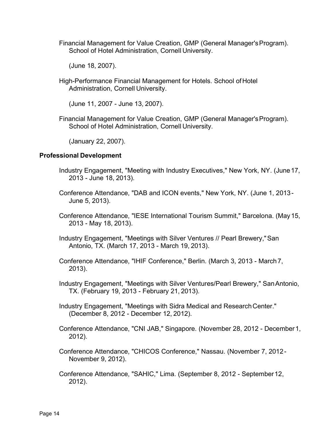Financial Management for Value Creation, GMP (General Manager'sProgram). School of Hotel Administration, Cornell University.

(June 18, 2007).

High-Performance Financial Management for Hotels. School ofHotel Administration, Cornell University.

(June 11, 2007 - June 13, 2007).

Financial Management for Value Creation, GMP (General Manager'sProgram). School of Hotel Administration, Cornell University.

(January 22, 2007).

# **Professional Development**

- Industry Engagement, "Meeting with Industry Executives," New York, NY. (June17, 2013 - June 18, 2013).
- Conference Attendance, "DAB and ICON events," New York, NY. (June 1, 2013- June 5, 2013).
- Conference Attendance, "IESE International Tourism Summit," Barcelona. (May15, 2013 - May 18, 2013).
- Industry Engagement, "Meetings with Silver Ventures // Pearl Brewery,"San Antonio, TX. (March 17, 2013 - March 19, 2013).
- Conference Attendance, "IHIF Conference," Berlin. (March 3, 2013 March 7, 2013).
- Industry Engagement, "Meetings with Silver Ventures/Pearl Brewery," SanAntonio, TX. (February 19, 2013 - February 21, 2013).
- Industry Engagement, "Meetings with Sidra Medical and ResearchCenter." (December 8, 2012 - December 12, 2012).
- Conference Attendance, "CNI JAB," Singapore. (November 28, 2012 December1, 2012).
- Conference Attendance, "CHICOS Conference," Nassau. (November 7, 2012- November 9, 2012).
- Conference Attendance, "SAHIC," Lima. (September 8, 2012 September12, 2012).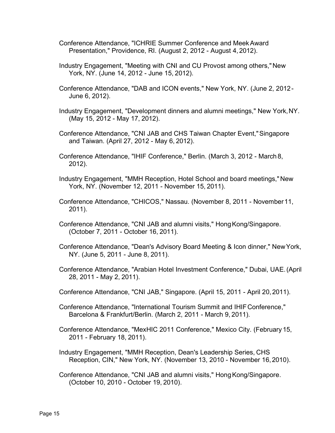- Conference Attendance, "ICHRIE Summer Conference and MeekAward Presentation," Providence, RI. (August 2, 2012 - August 4, 2012).
- Industry Engagement, "Meeting with CNI and CU Provost among others," New York, NY. (June 14, 2012 - June 15, 2012).
- Conference Attendance, "DAB and ICON events," New York, NY. (June 2, 2012- June 6, 2012).
- Industry Engagement, "Development dinners and alumni meetings," New York,NY. (May 15, 2012 - May 17, 2012).
- Conference Attendance, "CNI JAB and CHS Taiwan Chapter Event,"Singapore and Taiwan. (April 27, 2012 - May 6, 2012).
- Conference Attendance, "IHIF Conference," Berlin. (March 3, 2012 March 8, 2012).
- Industry Engagement, "MMH Reception, Hotel School and board meetings," New York, NY. (November 12, 2011 - November 15, 2011).
- Conference Attendance, "CHICOS," Nassau. (November 8, 2011 November11, 2011).
- Conference Attendance, "CNI JAB and alumni visits," Hong Kong/Singapore. (October 7, 2011 - October 16, 2011).
- Conference Attendance, "Dean's Advisory Board Meeting & Icon dinner," NewYork, NY. (June 5, 2011 - June 8, 2011).
- Conference Attendance, "Arabian Hotel Investment Conference," Dubai, UAE.(April 28, 2011 - May 2, 2011).
- Conference Attendance, "CNI JAB," Singapore. (April 15, 2011 April 20,2011).
- Conference Attendance, "International Tourism Summit and IHIFConference," Barcelona & Frankfurt/Berlin. (March 2, 2011 - March 9, 2011).
- Conference Attendance, "MexHIC 2011 Conference," Mexico City. (February 15, 2011 - February 18, 2011).
- Industry Engagement, "MMH Reception, Dean's Leadership Series, CHS Reception, CIN," New York, NY. (November 13, 2010 - November 16,2010).
- Conference Attendance, "CNI JAB and alumni visits," Hong Kong/Singapore. (October 10, 2010 - October 19, 2010).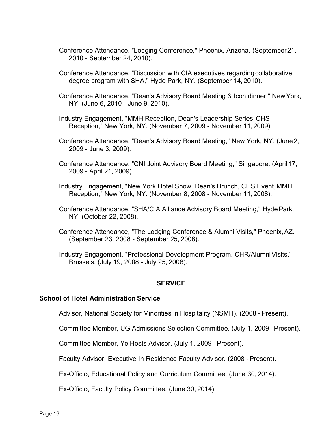- Conference Attendance, "Lodging Conference," Phoenix, Arizona. (September21, 2010 - September 24, 2010).
- Conference Attendance, "Discussion with CIA executives regardingcollaborative degree program with SHA," Hyde Park, NY. (September 14, 2010).
- Conference Attendance, "Dean's Advisory Board Meeting & Icon dinner," NewYork, NY. (June 6, 2010 - June 9, 2010).
- Industry Engagement, "MMH Reception, Dean's Leadership Series, CHS Reception," New York, NY. (November 7, 2009 - November 11, 2009).
- Conference Attendance, "Dean's Advisory Board Meeting," New York, NY. (June2, 2009 - June 3, 2009).
- Conference Attendance, "CNI Joint Advisory Board Meeting," Singapore. (April17, 2009 - April 21, 2009).
- Industry Engagement, "New York Hotel Show, Dean's Brunch, CHS Event,MMH Reception," New York, NY. (November 8, 2008 - November 11, 2008).
- Conference Attendance, "SHA/CIA Alliance Advisory Board Meeting," HydePark, NY. (October 22, 2008).
- Conference Attendance, "The Lodging Conference & Alumni Visits," Phoenix,AZ. (September 23, 2008 - September 25, 2008).
- Industry Engagement, "Professional Development Program, CHR/Alumni Visits," Brussels. (July 19, 2008 - July 25, 2008).

#### **SERVICE**

#### **School of Hotel Administration Service**

Advisor, National Society for Minorities in Hospitality (NSMH). (2008 - Present).

Committee Member, UG Admissions Selection Committee. (July 1, 2009 -Present).

Committee Member, Ye Hosts Advisor. (July 1, 2009 - Present).

Faculty Advisor, Executive In Residence Faculty Advisor. (2008 -Present).

Ex-Officio, Educational Policy and Curriculum Committee. (June 30, 2014).

Ex-Officio, Faculty Policy Committee. (June 30, 2014).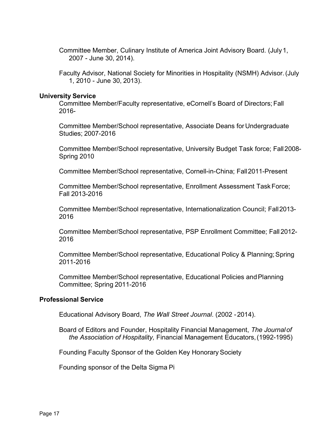Committee Member, Culinary Institute of America Joint Advisory Board. (July1, 2007 - June 30, 2014).

Faculty Advisor, National Society for Minorities in Hospitality (NSMH) Advisor.(July 1, 2010 - June 30, 2013).

### **University Service**

Committee Member/Faculty representative, eCornell's Board of Directors; Fall 2016-

Committee Member/School representative, Associate Deans for Undergraduate Studies; 2007-2016

Committee Member/School representative, University Budget Task force; Fall2008- Spring 2010

Committee Member/School representative, Cornell-in-China; Fall2011-Present

Committee Member/School representative, Enrollment Assessment TaskForce; Fall 2013-2016

Committee Member/School representative, Internationalization Council; Fall2013- 2016

Committee Member/School representative, PSP Enrollment Committee; Fall 2012- 2016

Committee Member/School representative, Educational Policy & Planning;Spring 2011-2016

Committee Member/School representative, Educational Policies andPlanning Committee; Spring 2011-2016

# **Professional Service**

Educational Advisory Board, *The Wall Street Journal*. (2002 -2014).

Board of Editors and Founder, Hospitality Financial Management, *The Journalof the Association of Hospitality,* Financial Management Educators,(1992-1995)

Founding Faculty Sponsor of the Golden Key Honorary Society

Founding sponsor of the Delta Sigma Pi